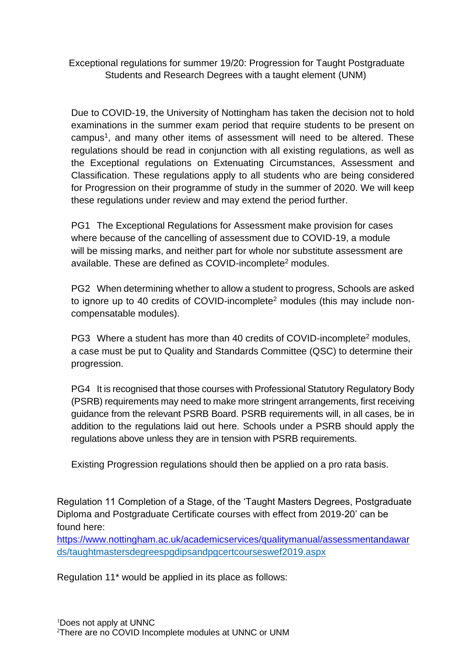Exceptional regulations for summer 19/20: Progression for Taught Postgraduate Students and Research Degrees with a taught element (UNM)

Due to COVID-19, the University of Nottingham has taken the decision not to hold examinations in the summer exam period that require students to be present on campus<sup>1</sup>, and many other items of assessment will need to be altered. These regulations should be read in conjunction with all existing regulations, as well as the Exceptional regulations on Extenuating Circumstances, Assessment and Classification. These regulations apply to all students who are being considered for Progression on their programme of study in the summer of 2020. We will keep these regulations under review and may extend the period further.

PG1 The Exceptional Regulations for Assessment make provision for cases where because of the cancelling of assessment due to COVID-19, a module will be missing marks, and neither part for whole nor substitute assessment are available. These are defined as COVID-incomplete<sup>2</sup> modules.

PG2 When determining whether to allow a student to progress, Schools are asked to ignore up to 40 credits of COVID-incomplete<sup>2</sup> modules (this may include noncompensatable modules).

PG3 Where a student has more than 40 credits of COVID-incomplete<sup>2</sup> modules, a case must be put to Quality and Standards Committee (QSC) to determine their progression.

PG4 It is recognised that those courses with Professional Statutory Regulatory Body (PSRB) requirements may need to make more stringent arrangements, first receiving guidance from the relevant PSRB Board. PSRB requirements will, in all cases, be in addition to the regulations laid out here. Schools under a PSRB should apply the regulations above unless they are in tension with PSRB requirements.

Existing Progression regulations should then be applied on a pro rata basis.

Regulation 11 Completion of a Stage, of the 'Taught Masters Degrees, Postgraduate Diploma and Postgraduate Certificate courses with effect from 2019-20' can be found here:

<https://www.nottingham.ac.uk/academicservices/qualitymanual/assessmentandawar> ds/taughtmastersdegreespgdipsandpgcertcourseswef2019.aspx

Regulation 11\* would be applied in its place as follows: